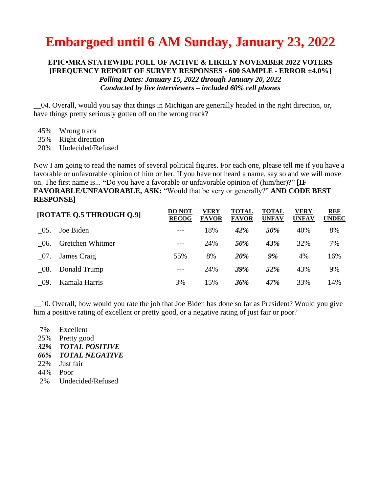## **Embargoed until 6 AM Sunday, January 23, 2022**

## **EPIC▪MRA STATEWIDE POLL OF ACTIVE & LIKELY NOVEMBER 2022 VOTERS [FREQUENCY REPORT OF SURVEY RESPONSES - 600 SAMPLE - ERROR ±4.0%]** *Polling Dates: January 15, 2022 through January 20, 2022 Conducted by live interviewers – included 60% cell phones*

\_\_04. Overall, would you say that things in Michigan are generally headed in the right direction, or, have things pretty seriously gotten off on the wrong track?

- 45% Wrong track
- 35% Right direction
- 20% Undecided/Refused

Now I am going to read the names of several political figures. For each one, please tell me if you have a favorable or unfavorable opinion of him or her. If you have not heard a name, say so and we will move on. The first name is... **"**Do you have a favorable or unfavorable opinion of (him/her)?" **[IF FAVORABLE/UNFAVORABLE, ASK:** "Would that be very or generally?" **AND CODE BEST RESPONSE]**

| [ROTATE Q.5 THROUGH Q.9] |                  | <b>DO NOT</b><br><b>RECOG</b> | VERY<br><b>FAVOR</b> | <b>TOTAL</b><br><b>FAVOR</b> | <b>TOTAL</b><br><b>UNFAV</b> | VERY<br><b>UNFAV</b> | REF<br><b>UNDEC</b> |
|--------------------------|------------------|-------------------------------|----------------------|------------------------------|------------------------------|----------------------|---------------------|
| - 05.                    | Joe Biden        |                               | 18%                  | 42%                          | 50%                          | 40%                  | 8%                  |
| - 06.                    | Gretchen Whitmer |                               | 24%                  | 50%                          | 43%                          | 32%                  | 7%                  |
| - 07.                    | James Craig      | 55%                           | 8%                   | <b>20%</b>                   | 9%                           | 4%                   | 16%                 |
| - 08.                    | Donald Trump     | $---$                         | 24%                  | <b>39%</b>                   | 52%                          | 43%                  | 9%                  |
| - 09.                    | Kamala Harris    | 3%                            | 15%                  | 36%                          | 47%                          | 33%                  | 14%                 |

\_\_10. Overall, how would you rate the job that Joe Biden has done so far as President? Would you give him a positive rating of excellent or pretty good, or a negative rating of just fair or poor?

7% Excellent 25% Pretty good *32% TOTAL POSITIVE 66% TOTAL NEGATIVE* 22% Just fair 44% Poor 2% Undecided/Refused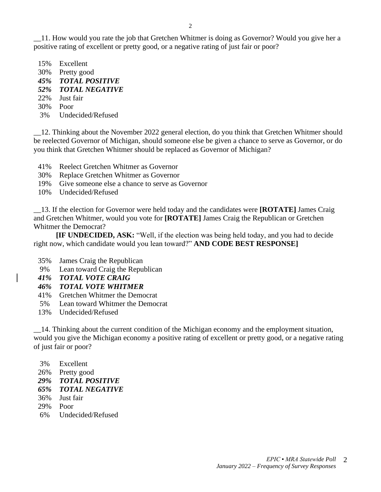\_\_11. How would you rate the job that Gretchen Whitmer is doing as Governor? Would you give her a positive rating of excellent or pretty good, or a negative rating of just fair or poor?

- 15% Excellent
- 30% Pretty good
- *45% TOTAL POSITIVE*
- *52% TOTAL NEGATIVE*
- 22% Just fair
- 30% Poor
- 3% Undecided/Refused

\_\_12. Thinking about the November 2022 general election, do you think that Gretchen Whitmer should be reelected Governor of Michigan, should someone else be given a chance to serve as Governor, or do you think that Gretchen Whitmer should be replaced as Governor of Michigan?

- 41% Reelect Gretchen Whitmer as Governor
- 30% Replace Gretchen Whitmer as Governor
- 19% Give someone else a chance to serve as Governor
- 10% Undecided/Refused

\_\_13. If the election for Governor were held today and the candidates were **[ROTATE]** James Craig and Gretchen Whitmer, would you vote for **[ROTATE]** James Craig the Republican or Gretchen Whitmer the Democrat?

**[IF UNDECIDED, ASK:** "Well, if the election was being held today, and you had to decide right now, which candidate would you lean toward?" **AND CODE BEST RESPONSE]**

- 35% James Craig the Republican
- 9% Lean toward Craig the Republican
- *41% TOTAL VOTE CRAIG*

## *46% TOTAL VOTE WHITMER*

- 41% Gretchen Whitmer the Democrat
- 5% Lean toward Whitmer the Democrat
- 13% Undecided/Refused

\_\_14. Thinking about the current condition of the Michigan economy and the employment situation, would you give the Michigan economy a positive rating of excellent or pretty good, or a negative rating of just fair or poor?

- 3% Excellent
- 26% Pretty good
- *29% TOTAL POSITIVE*
- *65% TOTAL NEGATIVE*
- 36% Just fair
- 29% Poor
- 6% Undecided/Refused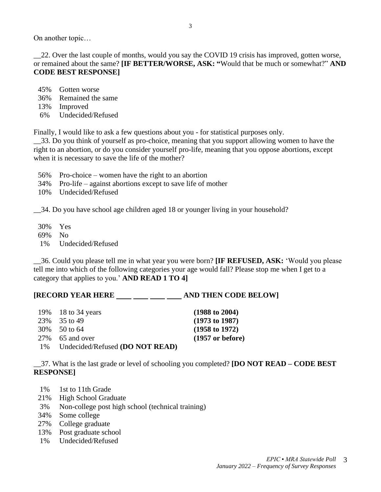On another topic…

\_\_22. Over the last couple of months, would you say the COVID 19 crisis has improved, gotten worse, or remained about the same? **[IF BETTER/WORSE, ASK: "**Would that be much or somewhat?" **AND CODE BEST RESPONSE]**

3

- 45% Gotten worse
- 36% Remained the same
- 13% Improved
- 6% Undecided/Refused

Finally, I would like to ask a few questions about you - for statistical purposes only.

\_\_33. Do you think of yourself as pro-choice, meaning that you support allowing women to have the right to an abortion, or do you consider yourself pro-life, meaning that you oppose abortions, except when it is necessary to save the life of the mother?

- 56% Pro-choice women have the right to an abortion
- 34% Pro-life against abortions except to save life of mother
- 10% Undecided/Refused

\_\_34. Do you have school age children aged 18 or younger living in your household?

30% Yes 69% No 1% Undecided/Refused

\_\_36. Could you please tell me in what year you were born? **[IF REFUSED, ASK:** 'Would you please tell me into which of the following categories your age would fall? Please stop me when I get to a category that applies to you.' **AND READ 1 TO 4]**

## **[RECORD YEAR HERE \_\_\_ \_\_ \_\_ \_\_ \_\_ AND THEN CODE BELOW]**

|    | 19% 18 to 34 years              | $(1988 \text{ to } 2004)$  |
|----|---------------------------------|----------------------------|
|    | 23\% 35 to 49                   | $(1973 \text{ to } 1987)$  |
|    | 30\% 50 to 64                   | $(1958 \text{ to } 1972)$  |
|    | 27\% 65 and over                | $(1957 \text{ or before})$ |
| 1% | Undecided/Refused (DO NOT READ) |                            |

\_\_37. What is the last grade or level of schooling you completed? **[DO NOT READ – CODE BEST RESPONSE]**

- 1% 1st to 11th Grade
- 21% High School Graduate
- 3% Non-college post high school (technical training)
- 34% Some college
- 27% College graduate
- 13% Post graduate school
- 1% Undecided/Refused